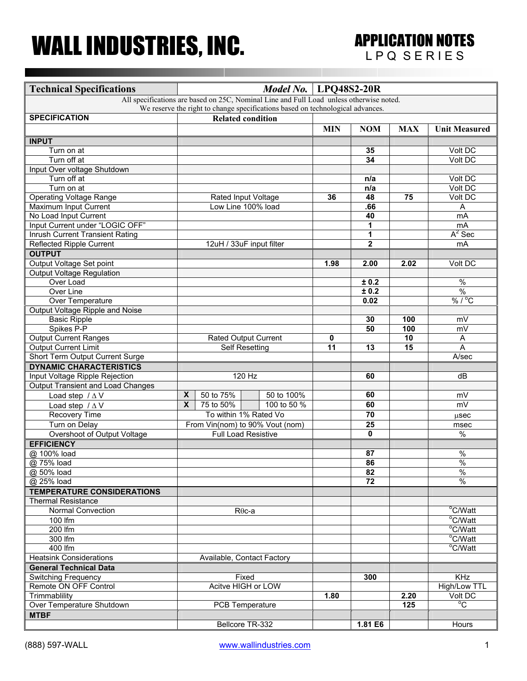## WALL INDUSTRIES, INC. APPLICATION NOTES

| <b>Technical Specifications</b>                                                         |                         |                                                               |                             | Model No.   $LPQ48S2-20R$ |                         |            |                       |
|-----------------------------------------------------------------------------------------|-------------------------|---------------------------------------------------------------|-----------------------------|---------------------------|-------------------------|------------|-----------------------|
| All specifications are based on 25C, Nominal Line and Full Load unless otherwise noted. |                         |                                                               |                             |                           |                         |            |                       |
| We reserve the right to change specifications based on technological advances.          |                         |                                                               |                             |                           |                         |            |                       |
| <b>SPECIFICATION</b>                                                                    |                         |                                                               | <b>Related condition</b>    |                           |                         |            |                       |
|                                                                                         |                         |                                                               |                             | <b>MIN</b>                | <b>NOM</b>              | <b>MAX</b> | <b>Unit Measured</b>  |
| <b>INPUT</b>                                                                            |                         |                                                               |                             |                           |                         |            |                       |
| Turn on at                                                                              |                         |                                                               |                             |                           | 35                      |            | Volt DC               |
| Turn off at                                                                             |                         |                                                               |                             |                           | 34                      |            | Volt DC               |
| Input Over voltage Shutdown                                                             |                         |                                                               |                             |                           |                         |            |                       |
| Turn off at                                                                             |                         |                                                               |                             |                           | n/a                     |            | Volt DC               |
| Turn on at                                                                              |                         |                                                               |                             |                           | n/a                     |            | Volt DC               |
| <b>Operating Voltage Range</b>                                                          |                         |                                                               | Rated Input Voltage         | 36                        | 48                      | 75         | Volt DC               |
| <b>Maximum Input Current</b>                                                            |                         | Low Line 100% load                                            |                             |                           | .66                     |            | Α                     |
| No Load Input Current                                                                   |                         |                                                               |                             |                           | 40                      |            | <b>mA</b>             |
| Input Current under "LOGIC OFF"                                                         |                         |                                                               |                             |                           | 1                       |            | mA                    |
| <b>Inrush Current Transient Rating</b>                                                  |                         |                                                               |                             |                           | 1                       |            | $A^2$ Sec             |
| Reflected Ripple Current                                                                |                         |                                                               | 12uH / 33uF input filter    |                           | $\overline{\mathbf{2}}$ |            | mA                    |
| <b>OUTPUT</b>                                                                           |                         |                                                               |                             |                           |                         |            |                       |
| Output Voltage Set point                                                                |                         |                                                               |                             | 1.98                      | 2.00                    | 2.02       | Volt DC               |
| <b>Output Voltage Regulation</b>                                                        |                         |                                                               |                             |                           |                         |            |                       |
| Over Load                                                                               |                         |                                                               |                             |                           | ± 0.2                   |            | $\frac{1}{2}$         |
| Over Line                                                                               |                         |                                                               |                             |                           | ± 0.2                   |            | $\frac{0}{0}$         |
| <b>Over Temperature</b>                                                                 |                         |                                                               |                             |                           | 0.02                    |            | % / °C                |
| Output Voltage Ripple and Noise                                                         |                         |                                                               |                             |                           |                         |            |                       |
| <b>Basic Ripple</b>                                                                     |                         |                                                               |                             |                           | 30                      | 100        | mV                    |
| Spikes P-P                                                                              |                         |                                                               |                             |                           | 50                      | 100        | mV                    |
| <b>Output Current Ranges</b>                                                            |                         |                                                               | <b>Rated Output Current</b> | $\mathbf 0$               |                         | 10         | A                     |
| <b>Output Current Limit</b>                                                             |                         | Self Resetting                                                |                             |                           | 13                      | 15         | A                     |
| Short Term Output Current Surge                                                         |                         |                                                               |                             | 11                        |                         |            | A/sec                 |
| <b>DYNAMIC CHARACTERISTICS</b>                                                          |                         |                                                               |                             |                           |                         |            |                       |
| Input Voltage Ripple Rejection                                                          |                         |                                                               | 120 Hz                      |                           | 60                      |            | dB                    |
| <b>Output Transient and Load Changes</b>                                                |                         |                                                               |                             |                           |                         |            |                       |
| Load step $/\Delta V$                                                                   | X                       | 50 to 75%                                                     | 50 to 100%                  |                           | 60                      |            | mV                    |
| Load step $/\Delta V$                                                                   | $\overline{\mathbf{x}}$ | 75 to 50%                                                     | 100 to 50 %                 |                           | 60                      |            | mV                    |
| <b>Recovery Time</b>                                                                    |                         |                                                               | To within 1% Rated Vo       |                           | $\overline{70}$         |            |                       |
| Turn on Delay                                                                           |                         |                                                               |                             |                           | 25                      |            | usec                  |
| Overshoot of Output Voltage                                                             |                         | From Vin(nom) to 90% Vout (nom)<br><b>Full Load Resistive</b> |                             |                           | $\mathbf{0}$            |            | msec<br>$\frac{1}{6}$ |
| <b>EFFICIENCY</b>                                                                       |                         |                                                               |                             |                           |                         |            |                       |
|                                                                                         |                         |                                                               |                             |                           |                         |            |                       |
| @ 100% load                                                                             |                         |                                                               |                             |                           | 87                      |            | $\%$<br>$\frac{0}{0}$ |
| @ 75% load                                                                              |                         |                                                               |                             |                           | 86                      |            |                       |
| @ 50% load                                                                              |                         |                                                               |                             |                           | 82                      |            | $\frac{1}{2}$<br>$\%$ |
| @ 25% load                                                                              |                         |                                                               |                             |                           | 72                      |            |                       |
| <b>TEMPERATURE CONSIDERATIONS</b>                                                       |                         |                                                               |                             |                           |                         |            |                       |
| <b>Thermal Resistance</b>                                                               |                         |                                                               |                             |                           |                         |            |                       |
| Normal Convection                                                                       | $R\theta$ c-a           |                                                               |                             |                           |                         |            | °C/Watt               |
| 100 $\overline{fm}$                                                                     |                         |                                                               |                             |                           |                         |            | °C/Watt               |
| 200 lfm                                                                                 |                         |                                                               |                             |                           |                         |            | °C/Watt               |
| 300 lfm                                                                                 |                         |                                                               |                             |                           |                         |            | °C/Watt               |
| 400 lfm                                                                                 |                         |                                                               |                             |                           |                         |            | °C/Watt               |
| <b>Heatsink Considerations</b>                                                          |                         |                                                               | Available, Contact Factory  |                           |                         |            |                       |
| <b>General Technical Data</b>                                                           |                         |                                                               |                             |                           |                         |            |                       |
| <b>Switching Frequency</b>                                                              | Fixed                   |                                                               |                             |                           | 300                     |            | <b>KHz</b>            |
| Remote ON OFF Control                                                                   | Acitve HIGH or LOW      |                                                               |                             |                           |                         |            | High/Low TTL          |
| Trimmablility                                                                           |                         |                                                               |                             | 1.80                      |                         | 2.20       | Volt DC               |
| Over Temperature Shutdown                                                               |                         | PCB Temperature                                               |                             |                           |                         | 125        | °C                    |
| <b>MTBF</b>                                                                             |                         |                                                               |                             |                           |                         |            |                       |
|                                                                                         |                         | Bellcore TR-332                                               |                             |                           | 1.81 E6                 |            | Hours                 |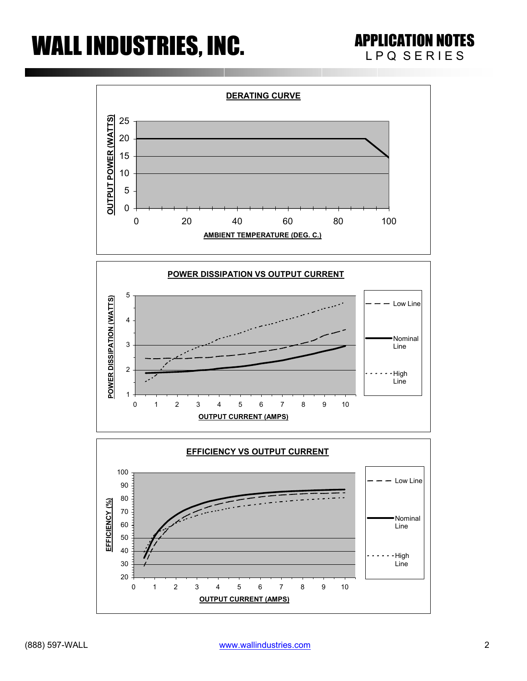## WALL INDUSTRIES, INC. APPLICATION NOTES